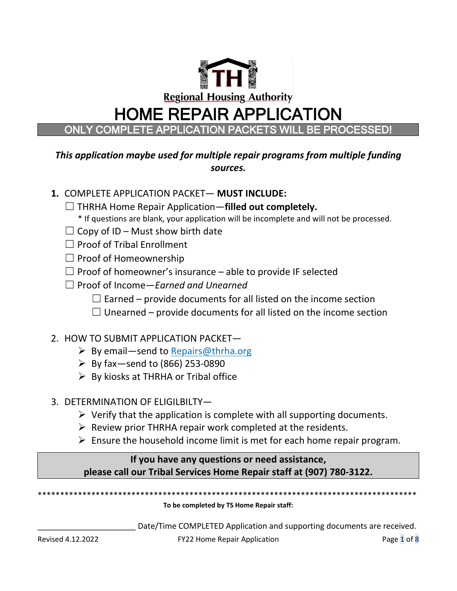

## *This application maybe used for multiple repair programs from multiple funding sources.*

# **1.** COMPLETE APPLICATION PACKET— **MUST INCLUDE:**

- ☐ THRHA Home Repair Application—**filled out completely.**
	- \* If questions are blank, your application will be incomplete and will not be processed.
- $\Box$  Copy of ID Must show birth date
- ☐ Proof of Tribal Enrollment
- $\Box$  Proof of Homeownership
- $\Box$  Proof of homeowner's insurance able to provide IF selected
- ☐ Proof of Income—*Earned and Unearned*
	- $\Box$  Earned provide documents for all listed on the income section
	- $\Box$  Unearned provide documents for all listed on the income section

## 2. HOW TO SUBMIT APPLICATION PACKET—

- $\triangleright$  By email—send to Repairs@thrha.org
- $\triangleright$  By fax-send to (866) 253-0890
- $\triangleright$  By kiosks at THRHA or Tribal office
- 3. DETERMINATION OF ELIGILBILTY—
	- $\triangleright$  Verify that the application is complete with all supporting documents.
	- $\triangleright$  Review prior THRHA repair work completed at the residents.
	- $\triangleright$  Ensure the household income limit is met for each home repair program.

## **If you have any questions or need assistance, please call our Tribal Services Home Repair staff at (907) 780-3122.**

\*\*\*\*\*\*\*\*\*\*\*\*\*\*\*\*\*\*\*\*\*\*\*\*\*\*\*\*\*\*\*\*\*\*\*\*\*\*\*\*\*\*\*\*\*\*\*\*\*\*\*\*\*\*\*\*\*\*\*\*\*\*\*\*\*\*\*\*\*\*\*\*\*\*\*\*\*\*\*\*\*\*\*\*\*

#### **To be completed by TS Home Repair staff:**

Date/Time COMPLETED Application and supporting documents are received.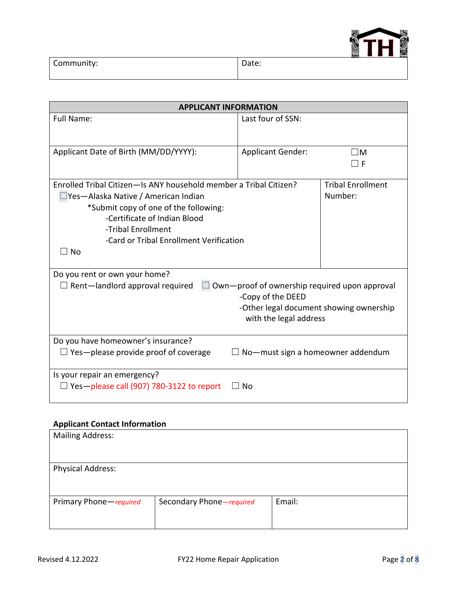

| Community: | Date: | ---- | $\overline{\phantom{a}}$ |
|------------|-------|------|--------------------------|
|            |       |      |                          |

| <b>APPLICANT INFORMATION</b>                                      |                                                      |                          |  |  |
|-------------------------------------------------------------------|------------------------------------------------------|--------------------------|--|--|
| <b>Full Name:</b>                                                 | Last four of SSN:                                    |                          |  |  |
|                                                                   |                                                      |                          |  |  |
| Applicant Date of Birth (MM/DD/YYYY):                             | <b>Applicant Gender:</b>                             | $\square$ M              |  |  |
|                                                                   |                                                      | F                        |  |  |
| Enrolled Tribal Citizen-Is ANY household member a Tribal Citizen? |                                                      | <b>Tribal Enrollment</b> |  |  |
| Yes-Alaska Native / American Indian                               |                                                      | Number:                  |  |  |
| *Submit copy of one of the following:                             |                                                      |                          |  |  |
| -Certificate of Indian Blood                                      |                                                      |                          |  |  |
| -Tribal Enrollment                                                |                                                      |                          |  |  |
| -Card or Tribal Enrollment Verification                           |                                                      |                          |  |  |
| $\Box$ No                                                         |                                                      |                          |  |  |
|                                                                   |                                                      |                          |  |  |
| Do you rent or own your home?                                     |                                                      |                          |  |  |
| $\Box$ Rent-landlord approval required                            | $\Box$ Own—proof of ownership required upon approval |                          |  |  |
|                                                                   | -Copy of the DEED                                    |                          |  |  |
|                                                                   | -Other legal document showing ownership              |                          |  |  |
|                                                                   | with the legal address                               |                          |  |  |
| Do you have homeowner's insurance?                                |                                                      |                          |  |  |
| $\Box$ Yes—please provide proof of coverage                       | No-must sign a homeowner addendum                    |                          |  |  |
| Is your repair an emergency?                                      |                                                      |                          |  |  |
| $\Box$ Yes-please call (907) 780-3122 to report                   | $\Box$ No                                            |                          |  |  |

### **Applicant Contact Information**

| <b>Mailing Address:</b>  |                          |        |
|--------------------------|--------------------------|--------|
|                          |                          |        |
| <b>Physical Address:</b> |                          |        |
|                          |                          |        |
| Primary Phone-required   | Secondary Phone-required | Email: |
|                          |                          |        |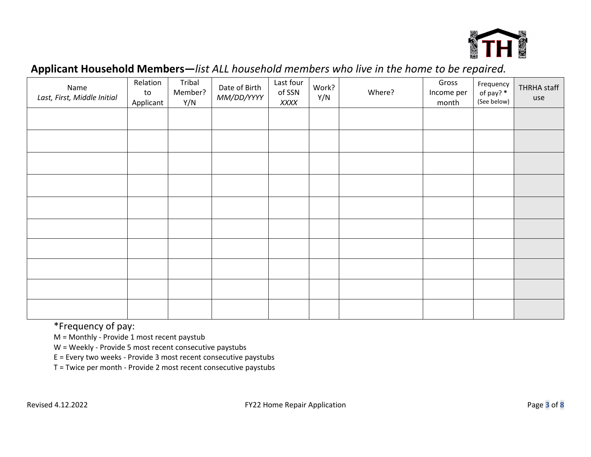

# **Applicant Household Members—***list ALL household members who live in the home to be repaired.*

| Name<br>Last, First, Middle Initial | Relation<br>to<br>Applicant | Tribal<br>Member?<br>Y/N | Date of Birth<br>MM/DD/YYYY | Last four<br>of SSN<br>XXXX | Work?<br>Y/N | Where? | Gross<br>Income per<br>month | Frequency<br>of pay? *<br>(See below) | THRHA staff<br>use |
|-------------------------------------|-----------------------------|--------------------------|-----------------------------|-----------------------------|--------------|--------|------------------------------|---------------------------------------|--------------------|
|                                     |                             |                          |                             |                             |              |        |                              |                                       |                    |
|                                     |                             |                          |                             |                             |              |        |                              |                                       |                    |
|                                     |                             |                          |                             |                             |              |        |                              |                                       |                    |
|                                     |                             |                          |                             |                             |              |        |                              |                                       |                    |
|                                     |                             |                          |                             |                             |              |        |                              |                                       |                    |
|                                     |                             |                          |                             |                             |              |        |                              |                                       |                    |
|                                     |                             |                          |                             |                             |              |        |                              |                                       |                    |
|                                     |                             |                          |                             |                             |              |        |                              |                                       |                    |
|                                     |                             |                          |                             |                             |              |        |                              |                                       |                    |
|                                     |                             |                          |                             |                             |              |        |                              |                                       |                    |

\*Frequency of pay:

M = Monthly - Provide 1 most recent paystub

W = Weekly - Provide 5 most recent consecutive paystubs

E = Every two weeks - Provide 3 most recent consecutive paystubs

T = Twice per month - Provide 2 most recent consecutive paystubs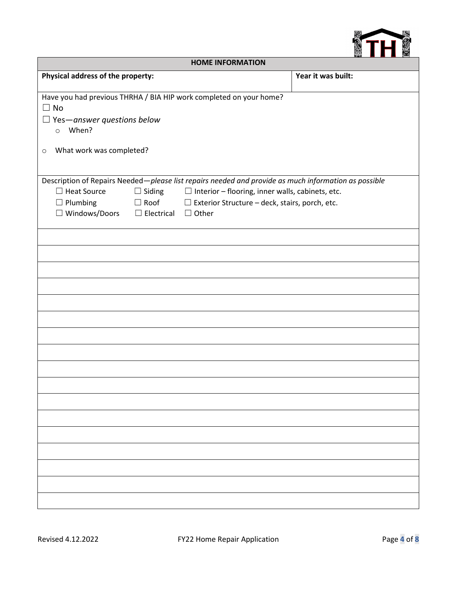

| <b>HOME INFORMATION</b>                                                                                                         |                                                 |                                                                                                                                                                                                                                      |                    |  |  |
|---------------------------------------------------------------------------------------------------------------------------------|-------------------------------------------------|--------------------------------------------------------------------------------------------------------------------------------------------------------------------------------------------------------------------------------------|--------------------|--|--|
| Physical address of the property:                                                                                               |                                                 |                                                                                                                                                                                                                                      | Year it was built: |  |  |
| Have you had previous THRHA / BIA HIP work completed on your home?<br>$\Box$ No<br>$\Box$ Yes—answer questions below<br>o When? |                                                 |                                                                                                                                                                                                                                      |                    |  |  |
| What work was completed?<br>$\circ$                                                                                             |                                                 |                                                                                                                                                                                                                                      |                    |  |  |
| $\Box$ Heat Source<br>$\Box$ Plumbing<br>$\Box$ Windows/Doors                                                                   | $\Box$ Siding<br>$\Box$ Electrical $\Box$ Other | Description of Repairs Needed-please list repairs needed and provide as much information as possible<br>$\Box$ Interior – flooring, inner walls, cabinets, etc.<br>$\Box$ Roof $\Box$ Exterior Structure – deck, stairs, porch, etc. |                    |  |  |
|                                                                                                                                 |                                                 |                                                                                                                                                                                                                                      |                    |  |  |
|                                                                                                                                 |                                                 |                                                                                                                                                                                                                                      |                    |  |  |
|                                                                                                                                 |                                                 |                                                                                                                                                                                                                                      |                    |  |  |
|                                                                                                                                 |                                                 |                                                                                                                                                                                                                                      |                    |  |  |
|                                                                                                                                 |                                                 |                                                                                                                                                                                                                                      |                    |  |  |
|                                                                                                                                 |                                                 |                                                                                                                                                                                                                                      |                    |  |  |
|                                                                                                                                 |                                                 |                                                                                                                                                                                                                                      |                    |  |  |
|                                                                                                                                 |                                                 |                                                                                                                                                                                                                                      |                    |  |  |
|                                                                                                                                 |                                                 |                                                                                                                                                                                                                                      |                    |  |  |
|                                                                                                                                 |                                                 |                                                                                                                                                                                                                                      |                    |  |  |
|                                                                                                                                 |                                                 |                                                                                                                                                                                                                                      |                    |  |  |
|                                                                                                                                 |                                                 |                                                                                                                                                                                                                                      |                    |  |  |
|                                                                                                                                 |                                                 |                                                                                                                                                                                                                                      |                    |  |  |
|                                                                                                                                 |                                                 |                                                                                                                                                                                                                                      |                    |  |  |
|                                                                                                                                 |                                                 |                                                                                                                                                                                                                                      |                    |  |  |
|                                                                                                                                 |                                                 |                                                                                                                                                                                                                                      |                    |  |  |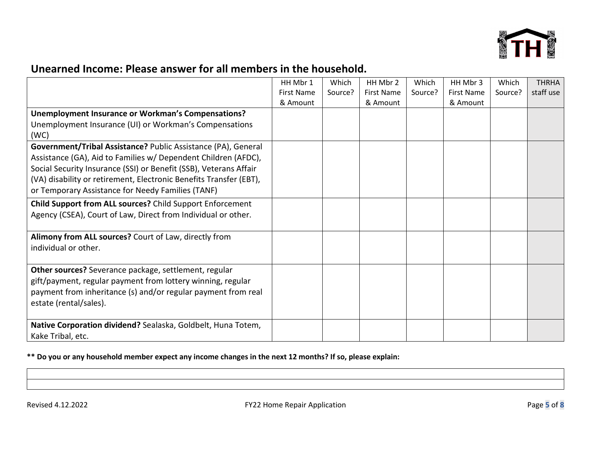

# **Unearned Income: Please answer for all members in the household.**

|                                                                    | HH Mbr 1          | Which   | HH Mbr 2          | Which   | HH Mbr 3          | Which   | <b>THRHA</b> |
|--------------------------------------------------------------------|-------------------|---------|-------------------|---------|-------------------|---------|--------------|
|                                                                    | <b>First Name</b> | Source? | <b>First Name</b> | Source? | <b>First Name</b> | Source? | staff use    |
|                                                                    | & Amount          |         | & Amount          |         | & Amount          |         |              |
| Unemployment Insurance or Workman's Compensations?                 |                   |         |                   |         |                   |         |              |
| Unemployment Insurance (UI) or Workman's Compensations             |                   |         |                   |         |                   |         |              |
| (WC)                                                               |                   |         |                   |         |                   |         |              |
| Government/Tribal Assistance? Public Assistance (PA), General      |                   |         |                   |         |                   |         |              |
| Assistance (GA), Aid to Families w/ Dependent Children (AFDC),     |                   |         |                   |         |                   |         |              |
| Social Security Insurance (SSI) or Benefit (SSB), Veterans Affair  |                   |         |                   |         |                   |         |              |
| (VA) disability or retirement, Electronic Benefits Transfer (EBT), |                   |         |                   |         |                   |         |              |
| or Temporary Assistance for Needy Families (TANF)                  |                   |         |                   |         |                   |         |              |
| Child Support from ALL sources? Child Support Enforcement          |                   |         |                   |         |                   |         |              |
| Agency (CSEA), Court of Law, Direct from Individual or other.      |                   |         |                   |         |                   |         |              |
|                                                                    |                   |         |                   |         |                   |         |              |
| Alimony from ALL sources? Court of Law, directly from              |                   |         |                   |         |                   |         |              |
| individual or other.                                               |                   |         |                   |         |                   |         |              |
|                                                                    |                   |         |                   |         |                   |         |              |
| Other sources? Severance package, settlement, regular              |                   |         |                   |         |                   |         |              |
| gift/payment, regular payment from lottery winning, regular        |                   |         |                   |         |                   |         |              |
| payment from inheritance (s) and/or regular payment from real      |                   |         |                   |         |                   |         |              |
| estate (rental/sales).                                             |                   |         |                   |         |                   |         |              |
|                                                                    |                   |         |                   |         |                   |         |              |
| Native Corporation dividend? Sealaska, Goldbelt, Huna Totem,       |                   |         |                   |         |                   |         |              |
| Kake Tribal, etc.                                                  |                   |         |                   |         |                   |         |              |

**\*\* Do you or any household member expect any income changes in the next 12 months? If so, please explain:**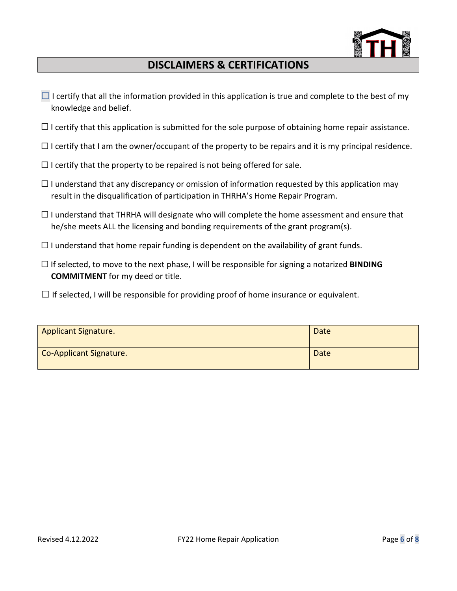

## **DISCLAIMERS & CERTIFICATIONS**

- $\Box$  I certify that all the information provided in this application is true and complete to the best of my knowledge and belief.
- $\Box$  I certify that this application is submitted for the sole purpose of obtaining home repair assistance.
- $\Box$  I certify that I am the owner/occupant of the property to be repairs and it is my principal residence.
- $\Box$  I certify that the property to be repaired is not being offered for sale.
- $\Box$  I understand that any discrepancy or omission of information requested by this application may result in the disqualification of participation in THRHA's Home Repair Program.
- $\Box$  I understand that THRHA will designate who will complete the home assessment and ensure that he/she meets ALL the licensing and bonding requirements of the grant program(s).
- $\Box$  I understand that home repair funding is dependent on the availability of grant funds.
- ☐ If selected, to move to the next phase, I will be responsible for signing a notarized **BINDING COMMITMENT** for my deed or title.
- $\Box$  If selected, I will be responsible for providing proof of home insurance or equivalent.

| <b>Applicant Signature.</b> | Date |
|-----------------------------|------|
| Co-Applicant Signature.     | Date |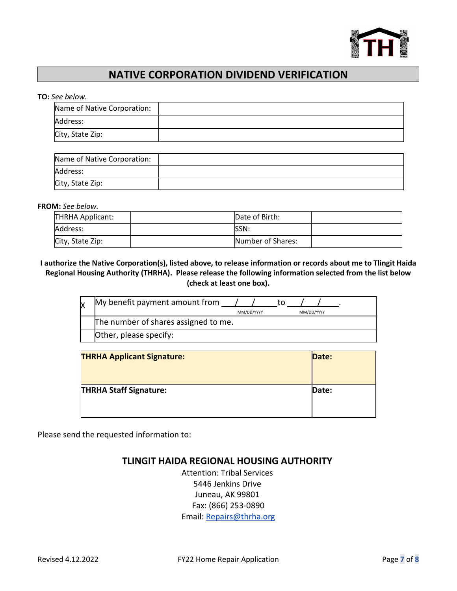

## **NATIVE CORPORATION DIVIDEND VERIFICATION**

#### **TO:** *See below.*

| Name of Native Corporation: |  |
|-----------------------------|--|
| Address:                    |  |
| City, State Zip:            |  |

| Name of Native Corporation: |  |
|-----------------------------|--|
| Address:                    |  |
| City, State Zip:            |  |

**FROM:** *See below.*

| THRHA Applicant: | Date of Birth:    |  |
|------------------|-------------------|--|
| Address:         | <b>ISSN:</b>      |  |
| City, State Zip: | Number of Shares: |  |

#### **I authorize the Native Corporation(s), listed above, to release information or records about me to Tlingit Haida Regional Housing Authority (THRHA). Please release the following information selected from the list below (check at least one box).**

| My benefit payment amount from       |            |  |            |  |
|--------------------------------------|------------|--|------------|--|
|                                      | MM/DD/YYYY |  | MM/DD/YYYY |  |
| The number of shares assigned to me. |            |  |            |  |
| Other, please specify:               |            |  |            |  |

| <b>THRHA Applicant Signature:</b> | Date: |
|-----------------------------------|-------|
| <b>THRHA Staff Signature:</b>     | Date: |
|                                   |       |

Please send the requested information to:

### **TLINGIT HAIDA REGIONAL HOUSING AUTHORITY**

Attention: Tribal Services 5446 Jenkins Drive Juneau, AK 99801 Fax: (866) 253-0890 Email: Repairs@thrha.org